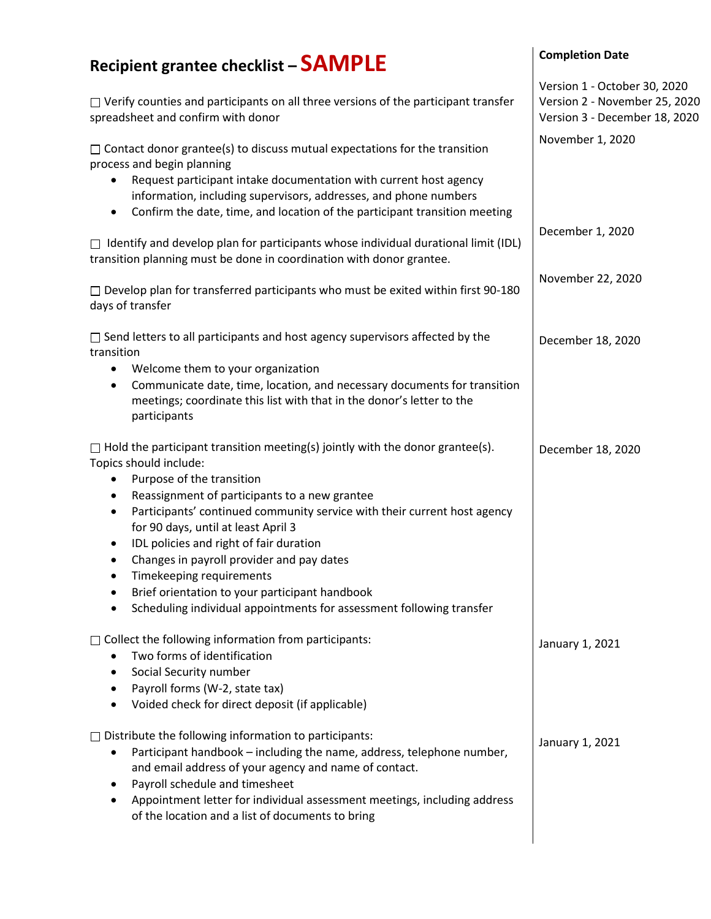## **Recipient grantee checklist – SAMPLE**   $\Box$  Verify counties and participants on all three versions of the participant transfer spreadsheet and confirm with donor  $\Box$  Contact donor grantee(s) to discuss mutual expectations for the transition process and begin planning • Request participant intake documentation with current host agency information, including supervisors, addresses, and phone numbers • Confirm the date, time, and location of the participant transition meeting  $\Box$  Identify and develop plan for participants whose individual durational limit (IDL) transition planning must be done in coordination with donor grantee.  $\Box$  Develop plan for transferred participants who must be exited within first 90-180 days of transfer  $\Box$  Send letters to all participants and host agency supervisors affected by the transition • Welcome them to your organization • Communicate date, time, location, and necessary documents for transition meetings; coordinate this list with that in the donor's letter to the participants  $\Box$  Hold the participant transition meeting(s) jointly with the donor grantee(s). Topics should include: • Purpose of the transition • Reassignment of participants to a new grantee • Participants' continued community service with their current host agency for 90 days, until at least April 3 • IDL policies and right of fair duration • Changes in payroll provider and pay dates • Timekeeping requirements • Brief orientation to your participant handbook • Scheduling individual appointments for assessment following transfer  $\Box$  Collect the following information from participants: • Two forms of identification • Social Security number • Payroll forms (W-2, state tax) • Voided check for direct deposit (if applicable)  $\Box$  Distribute the following information to participants: • Participant handbook – including the name, address, telephone number, and email address of your agency and name of contact. • Payroll schedule and timesheet • Appointment letter for individual assessment meetings, including address of the location and a list of documents to bring **Completion Date** Version 1 - October 30, 2020 Version 2 - November 25, 2020 Version 3 - December 18, 2020 November 1, 2020 December 1, 2020 November 22, 2020 December 18, 2020 December 18, 2020 January 1, 2021 January 1, 2021